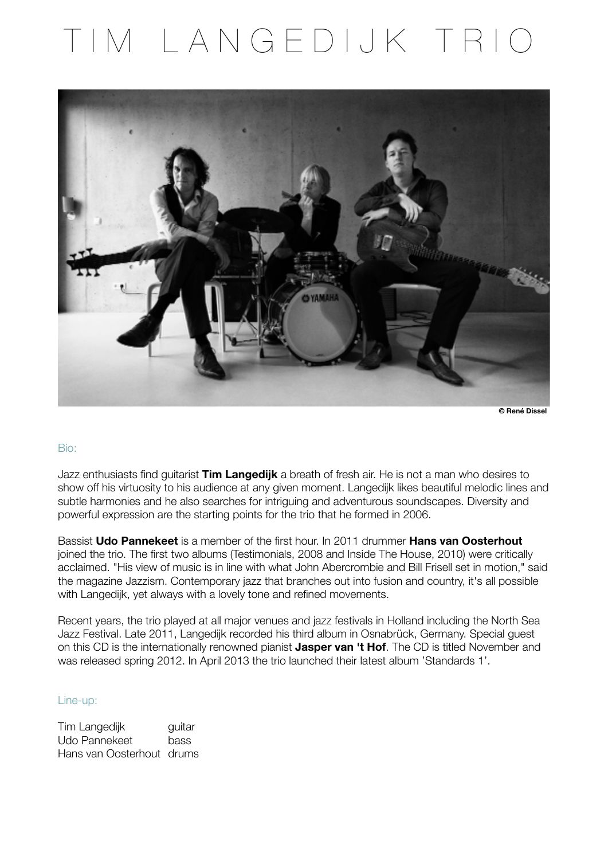# TIM LANGEDIJK TRIO



**© René Dissel**

#### Bio:

Jazz enthusiasts find guitarist **Tim Langedijk** a breath of fresh air. He is not a man who desires to show off his virtuosity to his audience at any given moment. Langedijk likes beautiful melodic lines and subtle harmonies and he also searches for intriguing and adventurous soundscapes. Diversity and powerful expression are the starting points for the trio that he formed in 2006.

Bassist **Udo Pannekeet** is a member of the first hour. In 2011 drummer **Hans van Oosterhout** joined the trio. The first two albums (Testimonials, 2008 and Inside The House, 2010) were critically acclaimed. "His view of music is in line with what John Abercrombie and Bill Frisell set in motion," said the magazine Jazzism. Contemporary jazz that branches out into fusion and country, it's all possible with Langedijk, yet always with a lovely tone and refined movements.

Recent years, the trio played at all major venues and jazz festivals in Holland including the North Sea Jazz Festival. Late 2011, Langedijk recorded his third album in Osnabrück, Germany. Special guest on this CD is the internationally renowned pianist **Jasper van 't Hof**. The CD is titled November and was released spring 2012. In April 2013 the trio launched their latest album 'Standards 1'.

#### Line-up:

Tim Langedijk **guitar** Udo Pannekeet bass Hans van Oosterhout drums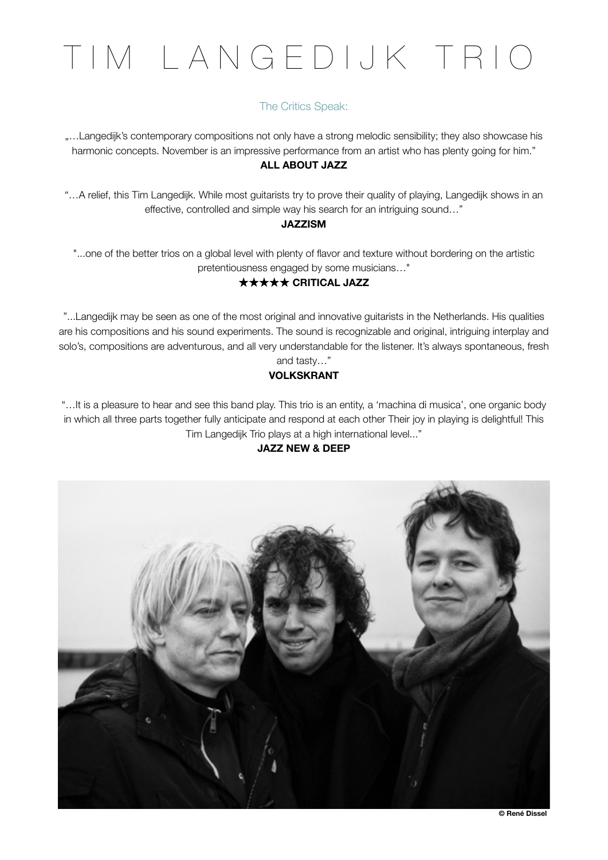# TIM LANGEDIJK TRIO

## The Critics Speak:

"…Langedijk's contemporary compositions not only have a strong melodic sensibility; they also showcase his harmonic concepts. November is an impressive performance from an artist who has plenty going for him." **ALL ABOUT JAZZ** 

"…A relief, this Tim Langedijk. While most guitarists try to prove their quality of playing, Langedijk shows in an effective, controlled and simple way his search for an intriguing sound…"

#### **JAZZISM**

"...one of the better trios on a global level with plenty of flavor and texture without bordering on the artistic pretentiousness engaged by some musicians…"

#### ★★★★★ **CRITICAL JAZZ**

"...Langedijk may be seen as one of the most original and innovative guitarists in the Netherlands. His qualities are his compositions and his sound experiments. The sound is recognizable and original, intriguing interplay and solo's, compositions are adventurous, and all very understandable for the listener. It's always spontaneous, fresh and tasty…"

#### **VOLKSKRANT**

"…It is a pleasure to hear and see this band play. This trio is an entity, a 'machina di musica', one organic body in which all three parts together fully anticipate and respond at each other Their joy in playing is delightful! This Tim Langedijk Trio plays at a high international level..."

#### **JAZZ NEW & DEEP**